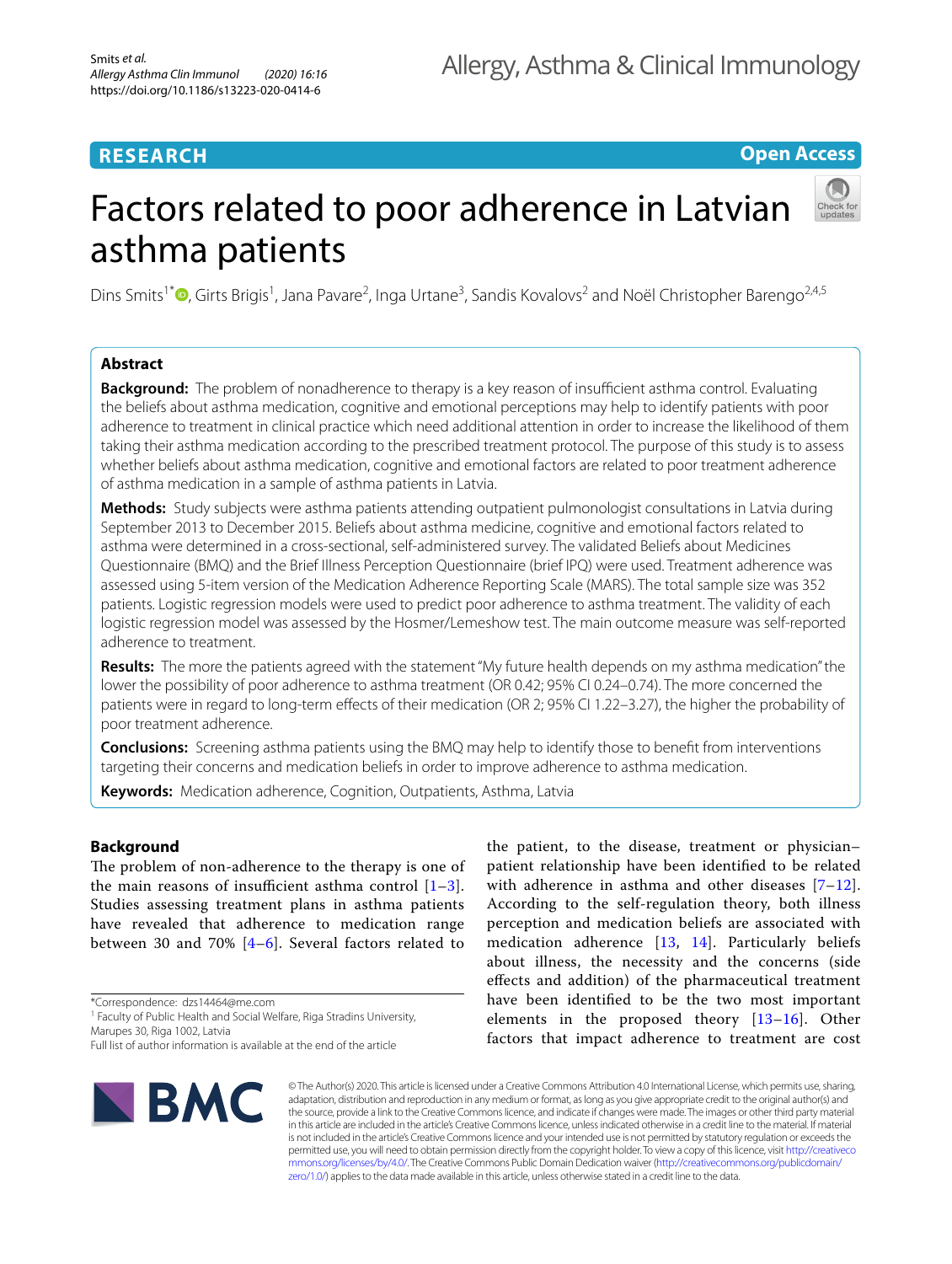# **RESEARCH**

**Open Access**

# Factors related to poor adherence in Latvian asthma patients

Dins Smits<sup>1\*</sup><sup>®</sup>[,](http://orcid.org/0000-0001-5514-7374) Girts Brigis<sup>1</sup>, Jana Pavare<sup>2</sup>, Inga Urtane<sup>3</sup>, Sandis Kovalovs<sup>2</sup> and Noël Christopher Barengo<sup>2,4,5</sup>

## **Abstract**

**Background:** The problem of nonadherence to therapy is a key reason of insufficient asthma control. Evaluating the beliefs about asthma medication, cognitive and emotional perceptions may help to identify patients with poor adherence to treatment in clinical practice which need additional attention in order to increase the likelihood of them taking their asthma medication according to the prescribed treatment protocol. The purpose of this study is to assess whether beliefs about asthma medication, cognitive and emotional factors are related to poor treatment adherence of asthma medication in a sample of asthma patients in Latvia.

**Methods:** Study subjects were asthma patients attending outpatient pulmonologist consultations in Latvia during September 2013 to December 2015. Beliefs about asthma medicine, cognitive and emotional factors related to asthma were determined in a cross-sectional, self-administered survey. The validated Beliefs about Medicines Questionnaire (BMQ) and the Brief Illness Perception Questionnaire (brief IPQ) were used. Treatment adherence was assessed using 5-item version of the Medication Adherence Reporting Scale (MARS). The total sample size was 352 patients. Logistic regression models were used to predict poor adherence to asthma treatment. The validity of each logistic regression model was assessed by the Hosmer/Lemeshow test. The main outcome measure was self-reported adherence to treatment.

**Results:** The more the patients agreed with the statement "My future health depends on my asthma medication" the lower the possibility of poor adherence to asthma treatment (OR 0.42; 95% CI 0.24–0.74). The more concerned the patients were in regard to long-term effects of their medication (OR 2; 95% CI 1.22-3.27), the higher the probability of poor treatment adherence.

**Conclusions:** Screening asthma patients using the BMQ may help to identify those to beneft from interventions targeting their concerns and medication beliefs in order to improve adherence to asthma medication.

**Keywords:** Medication adherence, Cognition, Outpatients, Asthma, Latvia

## **Background**

The problem of non-adherence to the therapy is one of the main reasons of insufficient asthma control  $[1-3]$  $[1-3]$ . Studies assessing treatment plans in asthma patients have revealed that adherence to medication range between 30 and 70% [[4](#page-5-2)–[6](#page-5-3)]. Several factors related to

\*Correspondence: dzs14464@me.com

<sup>1</sup> Faculty of Public Health and Social Welfare, Riga Stradins University, Marupes 30, Riga 1002, Latvia

Full list of author information is available at the end of the article



the patient, to the disease, treatment or physician– patient relationship have been identifed to be related with adherence in asthma and other diseases [[7–](#page-5-4)[12](#page-5-5)]. According to the self-regulation theory, both illness perception and medication beliefs are associated with medication adherence [[13](#page-5-6), [14\]](#page-5-7). Particularly beliefs about illness, the necessity and the concerns (side efects and addition) of the pharmaceutical treatment have been identifed to be the two most important elements in the proposed theory [[13–](#page-5-6)[16\]](#page-5-8). Other factors that impact adherence to treatment are cost

© The Author(s) 2020. This article is licensed under a Creative Commons Attribution 4.0 International License, which permits use, sharing, adaptation, distribution and reproduction in any medium or format, as long as you give appropriate credit to the original author(s) and the source, provide a link to the Creative Commons licence, and indicate if changes were made. The images or other third party material in this article are included in the article's Creative Commons licence, unless indicated otherwise in a credit line to the material. If material is not included in the article's Creative Commons licence and your intended use is not permitted by statutory regulation or exceeds the permitted use, you will need to obtain permission directly from the copyright holder. To view a copy of this licence, visit [http://creativeco](http://creativecommons.org/licenses/by/4.0/) [mmons.org/licenses/by/4.0/.](http://creativecommons.org/licenses/by/4.0/) The Creative Commons Public Domain Dedication waiver ([http://creativecommons.org/publicdomain/](http://creativecommons.org/publicdomain/zero/1.0/) [zero/1.0/\)](http://creativecommons.org/publicdomain/zero/1.0/) applies to the data made available in this article, unless otherwise stated in a credit line to the data.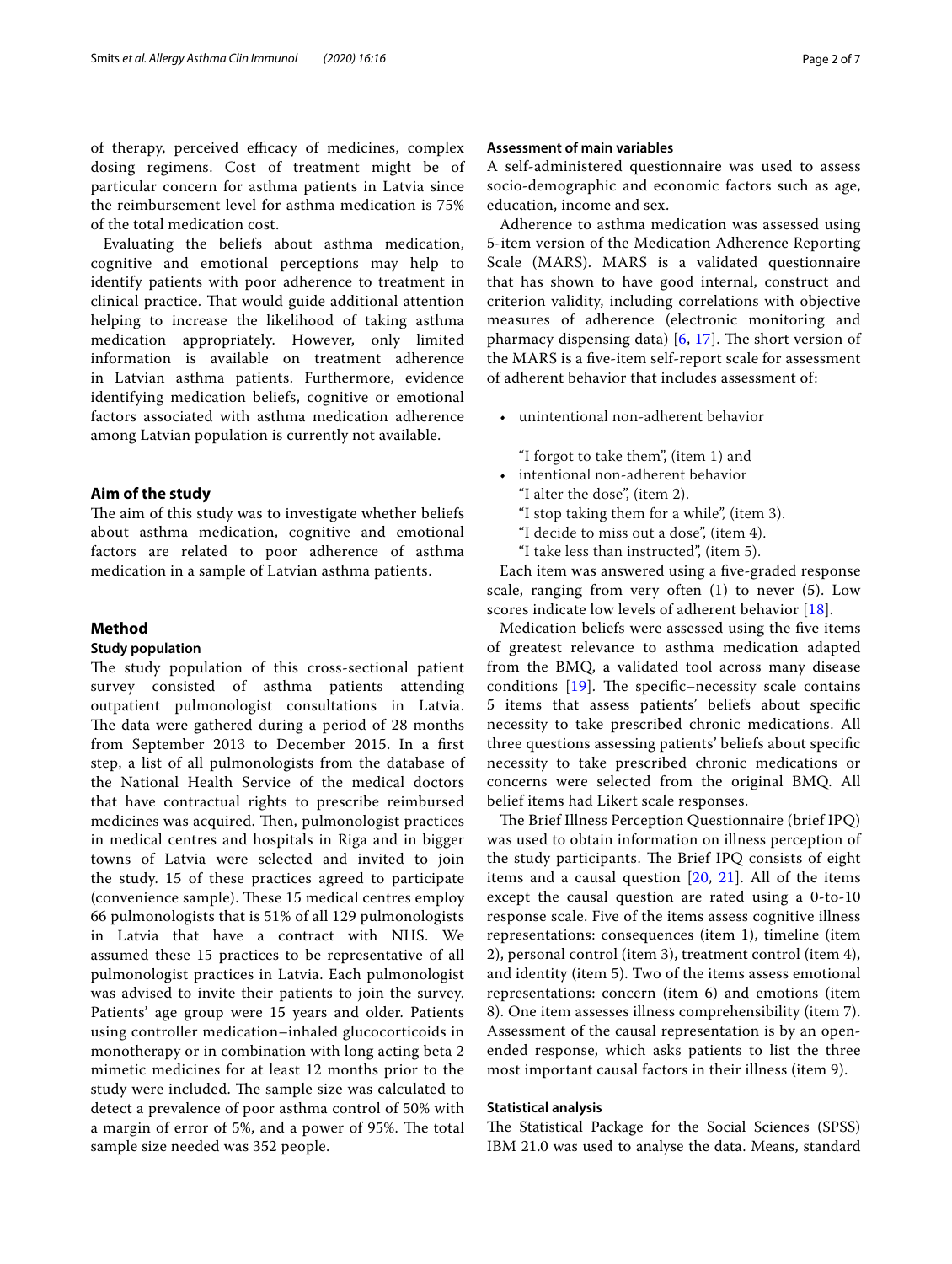of therapy, perceived efficacy of medicines, complex dosing regimens. Cost of treatment might be of particular concern for asthma patients in Latvia since the reimbursement level for asthma medication is 75% of the total medication cost.

Evaluating the beliefs about asthma medication, cognitive and emotional perceptions may help to identify patients with poor adherence to treatment in clinical practice. That would guide additional attention helping to increase the likelihood of taking asthma medication appropriately. However, only limited information is available on treatment adherence in Latvian asthma patients. Furthermore, evidence identifying medication beliefs, cognitive or emotional factors associated with asthma medication adherence among Latvian population is currently not available.

## **Aim of the study**

The aim of this study was to investigate whether beliefs about asthma medication, cognitive and emotional factors are related to poor adherence of asthma medication in a sample of Latvian asthma patients.

#### **Method**

#### **Study population**

The study population of this cross-sectional patient survey consisted of asthma patients attending outpatient pulmonologist consultations in Latvia. The data were gathered during a period of 28 months from September 2013 to December 2015. In a frst step, a list of all pulmonologists from the database of the National Health Service of the medical doctors that have contractual rights to prescribe reimbursed medicines was acquired. Then, pulmonologist practices in medical centres and hospitals in Riga and in bigger towns of Latvia were selected and invited to join the study. 15 of these practices agreed to participate (convenience sample). These 15 medical centres employ 66 pulmonologists that is 51% of all 129 pulmonologists in Latvia that have a contract with NHS. We assumed these 15 practices to be representative of all pulmonologist practices in Latvia. Each pulmonologist was advised to invite their patients to join the survey. Patients' age group were 15 years and older. Patients using controller medication–inhaled glucocorticoids in monotherapy or in combination with long acting beta 2 mimetic medicines for at least 12 months prior to the study were included. The sample size was calculated to detect a prevalence of poor asthma control of 50% with a margin of error of 5%, and a power of 95%. The total sample size needed was 352 people.

## **Assessment of main variables**

A self-administered questionnaire was used to assess socio-demographic and economic factors such as age, education, income and sex.

Adherence to asthma medication was assessed using 5-item version of the Medication Adherence Reporting Scale (MARS). MARS is a validated questionnaire that has shown to have good internal, construct and criterion validity, including correlations with objective measures of adherence (electronic monitoring and pharmacy dispensing data)  $[6, 17]$  $[6, 17]$  $[6, 17]$  $[6, 17]$  $[6, 17]$ . The short version of the MARS is a fve-item self-report scale for assessment of adherent behavior that includes assessment of:

• unintentional non-adherent behavior

"I forgot to take them", (item 1) and

- intentional non-adherent behavior
	- "I alter the dose", (item 2).
	- "I stop taking them for a while", (item 3).
	- "I decide to miss out a dose", (item 4).
	- "I take less than instructed", (item 5).

Each item was answered using a fve-graded response scale, ranging from very often (1) to never (5). Low scores indicate low levels of adherent behavior [[18\]](#page-5-10).

Medication beliefs were assessed using the fve items of greatest relevance to asthma medication adapted from the BMQ, a validated tool across many disease conditions  $[19]$  $[19]$ . The specific–necessity scale contains 5 items that assess patients' beliefs about specifc necessity to take prescribed chronic medications. All three questions assessing patients' beliefs about specifc necessity to take prescribed chronic medications or concerns were selected from the original BMQ. All belief items had Likert scale responses.

The Brief Illness Perception Questionnaire (brief IPQ) was used to obtain information on illness perception of the study participants. The Brief IPQ consists of eight items and a causal question [\[20](#page-6-0), [21\]](#page-6-1). All of the items except the causal question are rated using a 0-to-10 response scale. Five of the items assess cognitive illness representations: consequences (item 1), timeline (item 2), personal control (item 3), treatment control (item 4), and identity (item 5). Two of the items assess emotional representations: concern (item 6) and emotions (item 8). One item assesses illness comprehensibility (item 7). Assessment of the causal representation is by an openended response, which asks patients to list the three most important causal factors in their illness (item 9).

## **Statistical analysis**

The Statistical Package for the Social Sciences (SPSS) IBM 21.0 was used to analyse the data. Means, standard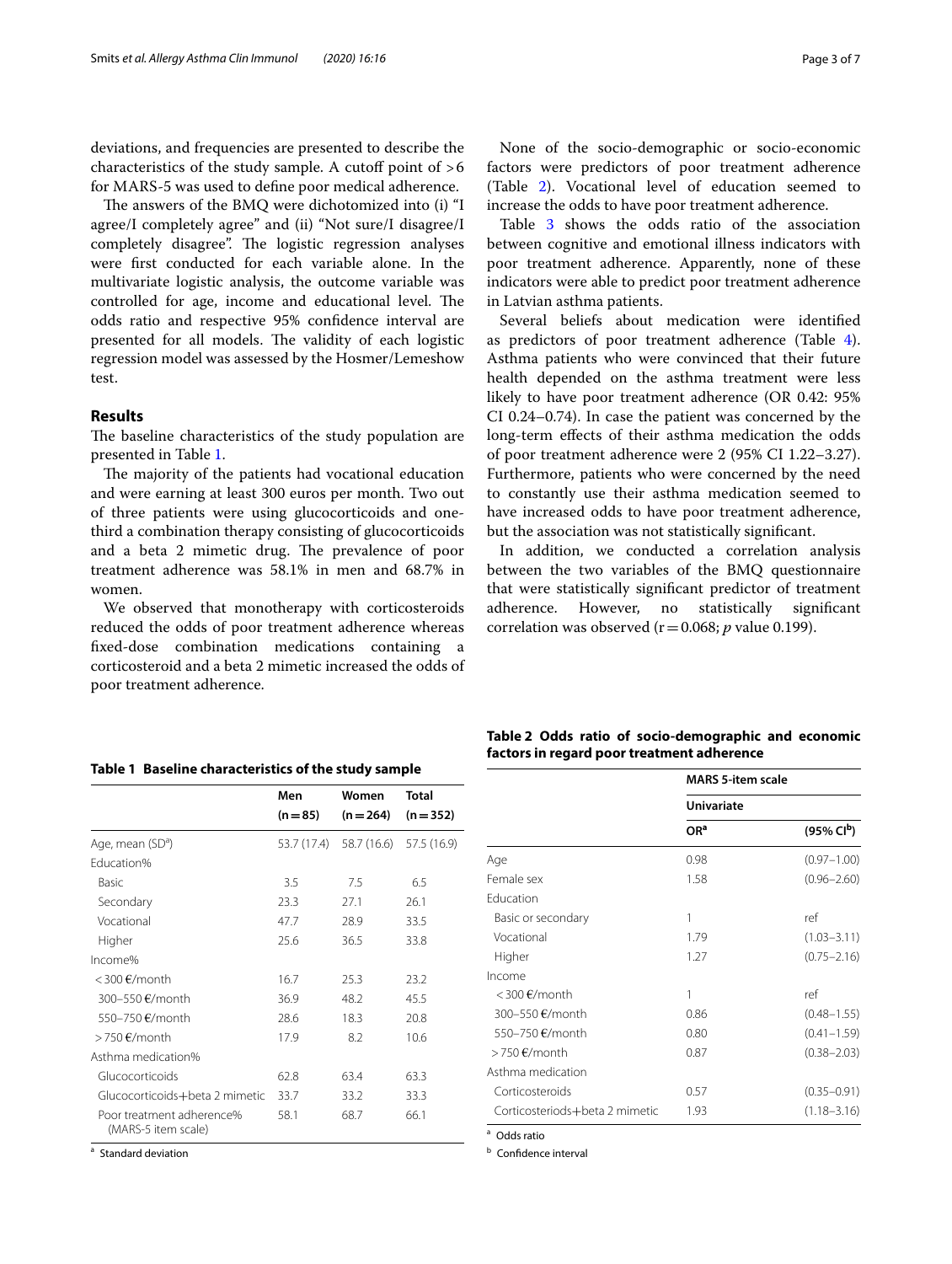deviations, and frequencies are presented to describe the characteristics of the study sample. A cutoff point of  $>6$ for MARS-5 was used to defne poor medical adherence.

The answers of the BMQ were dichotomized into (i) "I agree/I completely agree" and (ii) "Not sure/I disagree/I completely disagree". The logistic regression analyses were frst conducted for each variable alone. In the multivariate logistic analysis, the outcome variable was controlled for age, income and educational level. The odds ratio and respective 95% confdence interval are presented for all models. The validity of each logistic regression model was assessed by the Hosmer/Lemeshow test.

### **Results**

The baseline characteristics of the study population are presented in Table [1](#page-2-0).

The majority of the patients had vocational education and were earning at least 300 euros per month. Two out of three patients were using glucocorticoids and onethird a combination therapy consisting of glucocorticoids and a beta 2 mimetic drug. The prevalence of poor treatment adherence was 58.1% in men and 68.7% in women.

We observed that monotherapy with corticosteroids reduced the odds of poor treatment adherence whereas fxed-dose combination medications containing a corticosteroid and a beta 2 mimetic increased the odds of poor treatment adherence.

| None of the socio-demographic or socio-economic     |  |
|-----------------------------------------------------|--|
| factors were predictors of poor treatment adherence |  |
| (Table 2). Vocational level of education seemed to  |  |
| increase the odds to have poor treatment adherence. |  |

Table [3](#page-3-0) shows the odds ratio of the association between cognitive and emotional illness indicators with poor treatment adherence. Apparently, none of these indicators were able to predict poor treatment adherence in Latvian asthma patients.

Several beliefs about medication were identifed as predictors of poor treatment adherence (Table [4](#page-3-1)). Asthma patients who were convinced that their future health depended on the asthma treatment were less likely to have poor treatment adherence (OR 0.42: 95% CI 0.24–0.74). In case the patient was concerned by the long-term efects of their asthma medication the odds of poor treatment adherence were 2 (95% CI 1.22–3.27). Furthermore, patients who were concerned by the need to constantly use their asthma medication seemed to have increased odds to have poor treatment adherence, but the association was not statistically signifcant.

In addition, we conducted a correlation analysis between the two variables of the BMQ questionnaire that were statistically signifcant predictor of treatment adherence. However, no statistically signifcant correlation was observed ( $r=0.068$ ;  $p$  value 0.199).

|                              | Men  | Women                            | Total |  |
|------------------------------|------|----------------------------------|-------|--|
|                              |      | $(n=85)$ $(n=264)$ $(n=35)$      |       |  |
| Age, mean (SD <sup>a</sup> ) |      | 53.7 (17.4) 58.7 (16.6) 57.5 (16 |       |  |
| Education%                   |      |                                  |       |  |
| <b>Basic</b>                 | 3.5  | 75                               | 6.5   |  |
| Secondary                    | 23 S | 2/1                              | 26 1  |  |

<span id="page-2-0"></span>

| Table 1 Baseline characteristics of the study sample |  |
|------------------------------------------------------|--|
|                                                      |  |

|                                                  | men         | women       | Total       |
|--------------------------------------------------|-------------|-------------|-------------|
|                                                  | $(n=85)$    | $(n = 264)$ | $(n=352)$   |
| Age, mean (SD <sup>a</sup> )                     | 53.7 (17.4) | 58.7 (16.6) | 57.5 (16.9) |
| Education%                                       |             |             |             |
| Basic                                            | 3.5         | 7.5         | 6.5         |
| Secondary                                        | 23.3        | 27.1        | 26.1        |
| Vocational                                       | 47.7        | 28.9        | 33.5        |
| Higher                                           | 25.6        | 36.5        | 33.8        |
| Income%                                          |             |             |             |
| $<$ 300 $\epsilon$ /month                        | 16.7        | 25.3        | 23.2        |
| 300-550 €/month                                  | 36.9        | 48.2        | 45.5        |
| 550-750 €/month                                  | 28.6        | 18.3        | 20.8        |
| $>750$ €/month                                   | 17.9        | 8.2         | 10.6        |
| Asthma medication%                               |             |             |             |
| Glucocorticoids                                  | 62.8        | 63.4        | 63.3        |
| Glucocorticoids+beta 2 mimetic                   | 33.7        | 33.2        | 33.3        |
| Poor treatment adherence%<br>(MARS-5 item scale) | 58.1        | 68.7        | 66.1        |

<sup>a</sup> Standard deviation

<span id="page-2-1"></span>

| Table 2 Odds ratio of socio-demographic and economic |  |
|------------------------------------------------------|--|
| factors in regard poor treatment adherence           |  |

|                                | <b>MARS 5-item scale</b><br><b>Univariate</b> |                        |  |
|--------------------------------|-----------------------------------------------|------------------------|--|
|                                |                                               |                        |  |
|                                | OR <sup>a</sup>                               | (95% CI <sup>b</sup> ) |  |
| Age                            | 0.98                                          | $(0.97 - 1.00)$        |  |
| Female sex                     | 1.58                                          | $(0.96 - 2.60)$        |  |
| Education                      |                                               |                        |  |
| Basic or secondary             | 1                                             | ref                    |  |
| Vocational                     | 1.79                                          | $(1.03 - 3.11)$        |  |
| Higher                         | 1.27                                          | $(0.75 - 2.16)$        |  |
| Income                         |                                               |                        |  |
| <300 €/month                   | 1                                             | ref                    |  |
| 300–550 €/month                | 0.86                                          | $(0.48 - 1.55)$        |  |
| 550-750 €/month                | 0.80                                          | $(0.41 - 1.59)$        |  |
| >750 €/month                   | 0.87                                          | $(0.38 - 2.03)$        |  |
| Asthma medication              |                                               |                        |  |
| Corticosteroids                | 0.57                                          | $(0.35 - 0.91)$        |  |
| Corticosteriods+beta 2 mimetic | 1.93                                          | $(1.18 - 3.16)$        |  |

<sup>a</sup> Odds ratio

**b** Confidence interval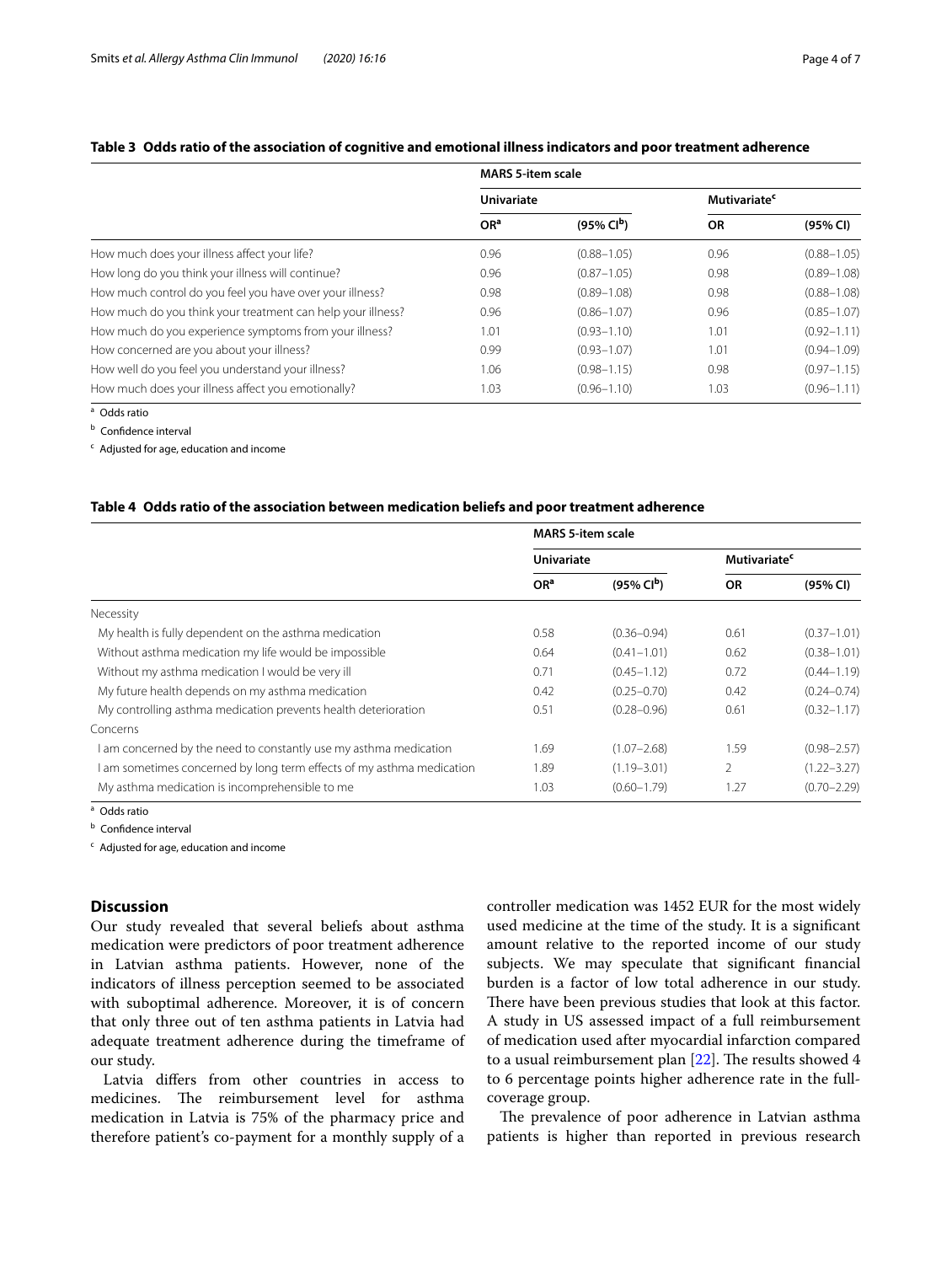## <span id="page-3-0"></span>**Table 3 Odds ratio of the association of cognitive and emotional illness indicators and poor treatment adherence**

|                                                             | <b>MARS 5-item scale</b>    |                         |                                |                 |
|-------------------------------------------------------------|-----------------------------|-------------------------|--------------------------------|-----------------|
|                                                             | <b>Univariate</b>           |                         | <b>Mutivariate<sup>c</sup></b> |                 |
|                                                             | O <sub>R</sub> <sup>a</sup> | $(95\% \, \text{Cl}^b)$ | <b>OR</b>                      | (95% CI)        |
| How much does your illness affect your life?                | 0.96                        | $(0.88 - 1.05)$         | 0.96                           | $(0.88 - 1.05)$ |
| How long do you think your illness will continue?           | 0.96                        | $(0.87 - 1.05)$         | 0.98                           | $(0.89 - 1.08)$ |
| How much control do you feel you have over your illness?    | 0.98                        | $(0.89 - 1.08)$         | 0.98                           | $(0.88 - 1.08)$ |
| How much do you think your treatment can help your illness? | 0.96                        | $(0.86 - 1.07)$         | 0.96                           | $(0.85 - 1.07)$ |
| How much do you experience symptoms from your illness?      | 1.01                        | $(0.93 - 1.10)$         | 1.01                           | $(0.92 - 1.11)$ |
| How concerned are you about your illness?                   | 0.99                        | $(0.93 - 1.07)$         | 1.01                           | $(0.94 - 1.09)$ |
| How well do you feel you understand your illness?           | 1.06                        | $(0.98 - 1.15)$         | 0.98                           | $(0.97 - 1.15)$ |
| How much does your illness affect you emotionally?          | 1.03                        | $(0.96 - 1.10)$         | 1.03                           | $(0.96 - 1.11)$ |

 $\overline{a}$  Odds ratio

**b** Confidence interval

<sup>c</sup> Adjusted for age, education and income

#### <span id="page-3-1"></span>**Table 4 Odds ratio of the association between medication beliefs and poor treatment adherence**

|                                                                       | <b>MARS 5-item scale</b> |                       |                                |                 |
|-----------------------------------------------------------------------|--------------------------|-----------------------|--------------------------------|-----------------|
|                                                                       | <b>Univariate</b>        |                       | <b>Mutivariate<sup>c</sup></b> |                 |
|                                                                       | OR <sup>a</sup>          | $(95\% \text{ Cl}^b)$ | <b>OR</b>                      | (95% CI)        |
| Necessity                                                             |                          |                       |                                |                 |
| My health is fully dependent on the asthma medication                 | 0.58                     | $(0.36 - 0.94)$       | 0.61                           | $(0.37 - 1.01)$ |
| Without asthma medication my life would be impossible                 | 0.64                     | $(0.41 - 1.01)$       | 0.62                           | $(0.38 - 1.01)$ |
| Without my asthma medication I would be very ill                      | 0.71                     | $(0.45 - 1.12)$       | 0.72                           | $(0.44 - 1.19)$ |
| My future health depends on my asthma medication                      | 0.42                     | $(0.25 - 0.70)$       | 0.42                           | $(0.24 - 0.74)$ |
| My controlling asthma medication prevents health deterioration        | 0.51                     | $(0.28 - 0.96)$       | 0.61                           | $(0.32 - 1.17)$ |
| Concerns                                                              |                          |                       |                                |                 |
| I am concerned by the need to constantly use my asthma medication     | 1.69                     | $(1.07 - 2.68)$       | 1.59                           | $(0.98 - 2.57)$ |
| I am sometimes concerned by long term effects of my asthma medication | 1.89                     | $(1.19 - 3.01)$       | 2                              | $(1.22 - 3.27)$ |
| My asthma medication is incomprehensible to me                        | 1.03                     | $(0.60 - 1.79)$       | 1.27                           | $(0.70 - 2.29)$ |

<sup>a</sup> Odds ratio

**b** Confidence interval

<sup>c</sup> Adjusted for age, education and income

## **Discussion**

Our study revealed that several beliefs about asthma medication were predictors of poor treatment adherence in Latvian asthma patients. However, none of the indicators of illness perception seemed to be associated with suboptimal adherence. Moreover, it is of concern that only three out of ten asthma patients in Latvia had adequate treatment adherence during the timeframe of our study.

Latvia difers from other countries in access to medicines. The reimbursement level for asthma medication in Latvia is 75% of the pharmacy price and therefore patient's co-payment for a monthly supply of a controller medication was 1452 EUR for the most widely used medicine at the time of the study. It is a signifcant amount relative to the reported income of our study subjects. We may speculate that signifcant fnancial burden is a factor of low total adherence in our study. There have been previous studies that look at this factor. A study in US assessed impact of a full reimbursement of medication used after myocardial infarction compared to a usual reimbursement plan  $[22]$ . The results showed 4 to 6 percentage points higher adherence rate in the fullcoverage group.

The prevalence of poor adherence in Latvian asthma patients is higher than reported in previous research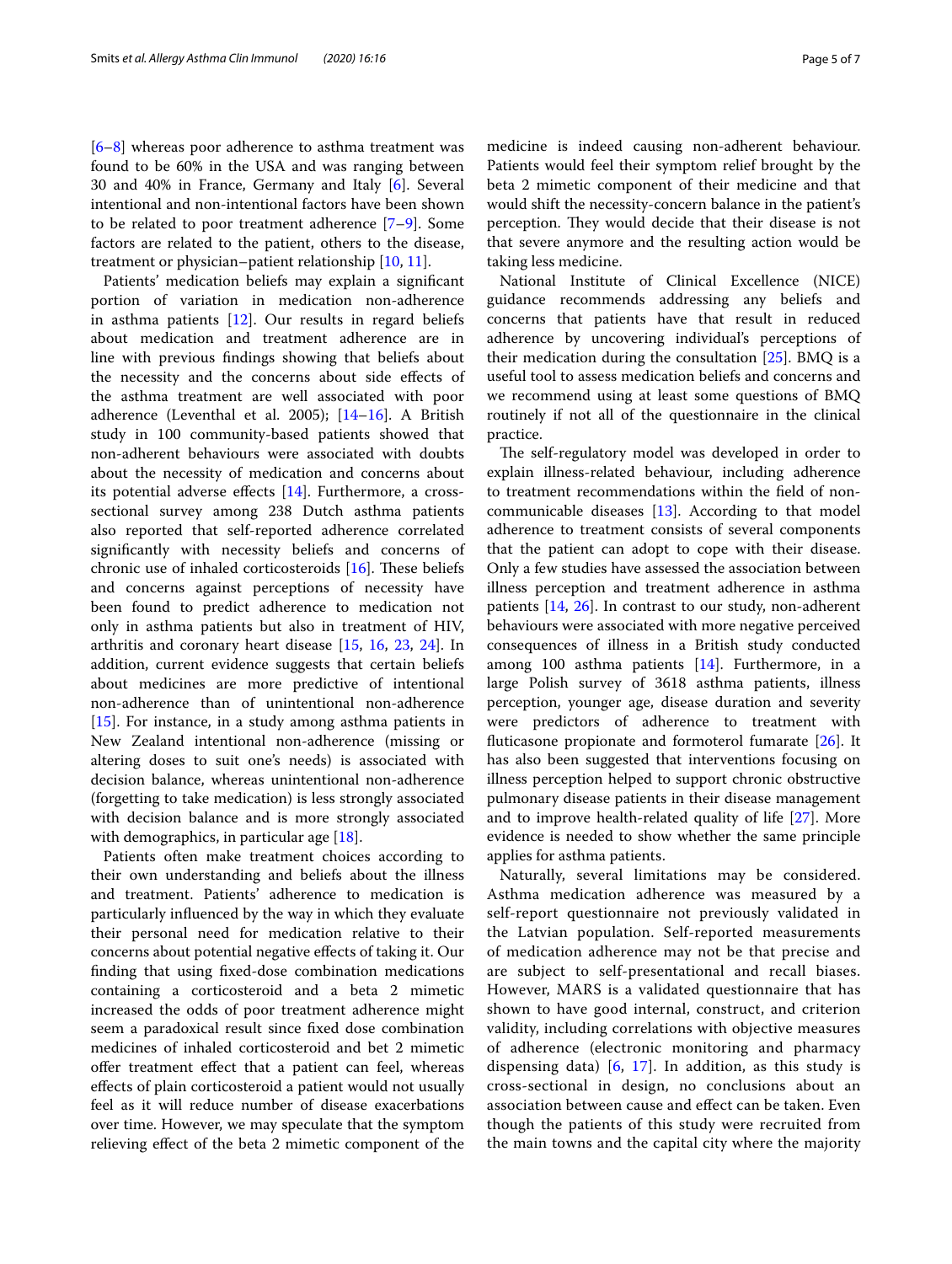[[6–](#page-5-3)[8\]](#page-5-12) whereas poor adherence to asthma treatment was found to be 60% in the USA and was ranging between 30 and 40% in France, Germany and Italy [\[6](#page-5-3)]. Several intentional and non-intentional factors have been shown to be related to poor treatment adherence [[7](#page-5-4)[–9](#page-5-13)]. Some factors are related to the patient, others to the disease, treatment or physician–patient relationship [\[10](#page-5-14), [11\]](#page-5-15).

Patients' medication beliefs may explain a signifcant portion of variation in medication non-adherence in asthma patients [\[12](#page-5-5)]. Our results in regard beliefs about medication and treatment adherence are in line with previous fndings showing that beliefs about the necessity and the concerns about side efects of the asthma treatment are well associated with poor adherence (Leventhal et al. 2005); [\[14](#page-5-7)[–16\]](#page-5-8). A British study in 100 community-based patients showed that non-adherent behaviours were associated with doubts about the necessity of medication and concerns about its potential adverse efects [\[14](#page-5-7)]. Furthermore, a crosssectional survey among 238 Dutch asthma patients also reported that self-reported adherence correlated signifcantly with necessity beliefs and concerns of chronic use of inhaled corticosteroids  $[16]$  $[16]$ . These beliefs and concerns against perceptions of necessity have been found to predict adherence to medication not only in asthma patients but also in treatment of HIV, arthritis and coronary heart disease [[15,](#page-5-16) [16,](#page-5-8) [23,](#page-6-3) [24\]](#page-6-4). In addition, current evidence suggests that certain beliefs about medicines are more predictive of intentional non-adherence than of unintentional non-adherence [[15\]](#page-5-16). For instance, in a study among asthma patients in New Zealand intentional non-adherence (missing or altering doses to suit one's needs) is associated with decision balance, whereas unintentional non-adherence (forgetting to take medication) is less strongly associated with decision balance and is more strongly associated with demographics, in particular age [[18\]](#page-5-10).

Patients often make treatment choices according to their own understanding and beliefs about the illness and treatment. Patients' adherence to medication is particularly infuenced by the way in which they evaluate their personal need for medication relative to their concerns about potential negative efects of taking it. Our fnding that using fxed-dose combination medications containing a corticosteroid and a beta 2 mimetic increased the odds of poor treatment adherence might seem a paradoxical result since fxed dose combination medicines of inhaled corticosteroid and bet 2 mimetic offer treatment effect that a patient can feel, whereas efects of plain corticosteroid a patient would not usually feel as it will reduce number of disease exacerbations over time. However, we may speculate that the symptom relieving efect of the beta 2 mimetic component of the

medicine is indeed causing non-adherent behaviour. Patients would feel their symptom relief brought by the beta 2 mimetic component of their medicine and that would shift the necessity-concern balance in the patient's perception. They would decide that their disease is not that severe anymore and the resulting action would be taking less medicine.

National Institute of Clinical Excellence (NICE) guidance recommends addressing any beliefs and concerns that patients have that result in reduced adherence by uncovering individual's perceptions of their medication during the consultation [\[25](#page-6-5)]. BMQ is a useful tool to assess medication beliefs and concerns and we recommend using at least some questions of BMQ routinely if not all of the questionnaire in the clinical practice.

The self-regulatory model was developed in order to explain illness-related behaviour, including adherence to treatment recommendations within the feld of noncommunicable diseases [\[13\]](#page-5-6). According to that model adherence to treatment consists of several components that the patient can adopt to cope with their disease. Only a few studies have assessed the association between illness perception and treatment adherence in asthma patients [[14,](#page-5-7) [26\]](#page-6-6). In contrast to our study, non-adherent behaviours were associated with more negative perceived consequences of illness in a British study conducted among 100 asthma patients [[14](#page-5-7)]. Furthermore, in a large Polish survey of 3618 asthma patients, illness perception, younger age, disease duration and severity were predictors of adherence to treatment with futicasone propionate and formoterol fumarate [\[26\]](#page-6-6). It has also been suggested that interventions focusing on illness perception helped to support chronic obstructive pulmonary disease patients in their disease management and to improve health-related quality of life [\[27](#page-6-7)]. More evidence is needed to show whether the same principle applies for asthma patients.

Naturally, several limitations may be considered. Asthma medication adherence was measured by a self-report questionnaire not previously validated in the Latvian population. Self-reported measurements of medication adherence may not be that precise and are subject to self-presentational and recall biases. However, MARS is a validated questionnaire that has shown to have good internal, construct, and criterion validity, including correlations with objective measures of adherence (electronic monitoring and pharmacy dispensing data)  $[6, 17]$  $[6, 17]$  $[6, 17]$ . In addition, as this study is cross-sectional in design, no conclusions about an association between cause and efect can be taken. Even though the patients of this study were recruited from the main towns and the capital city where the majority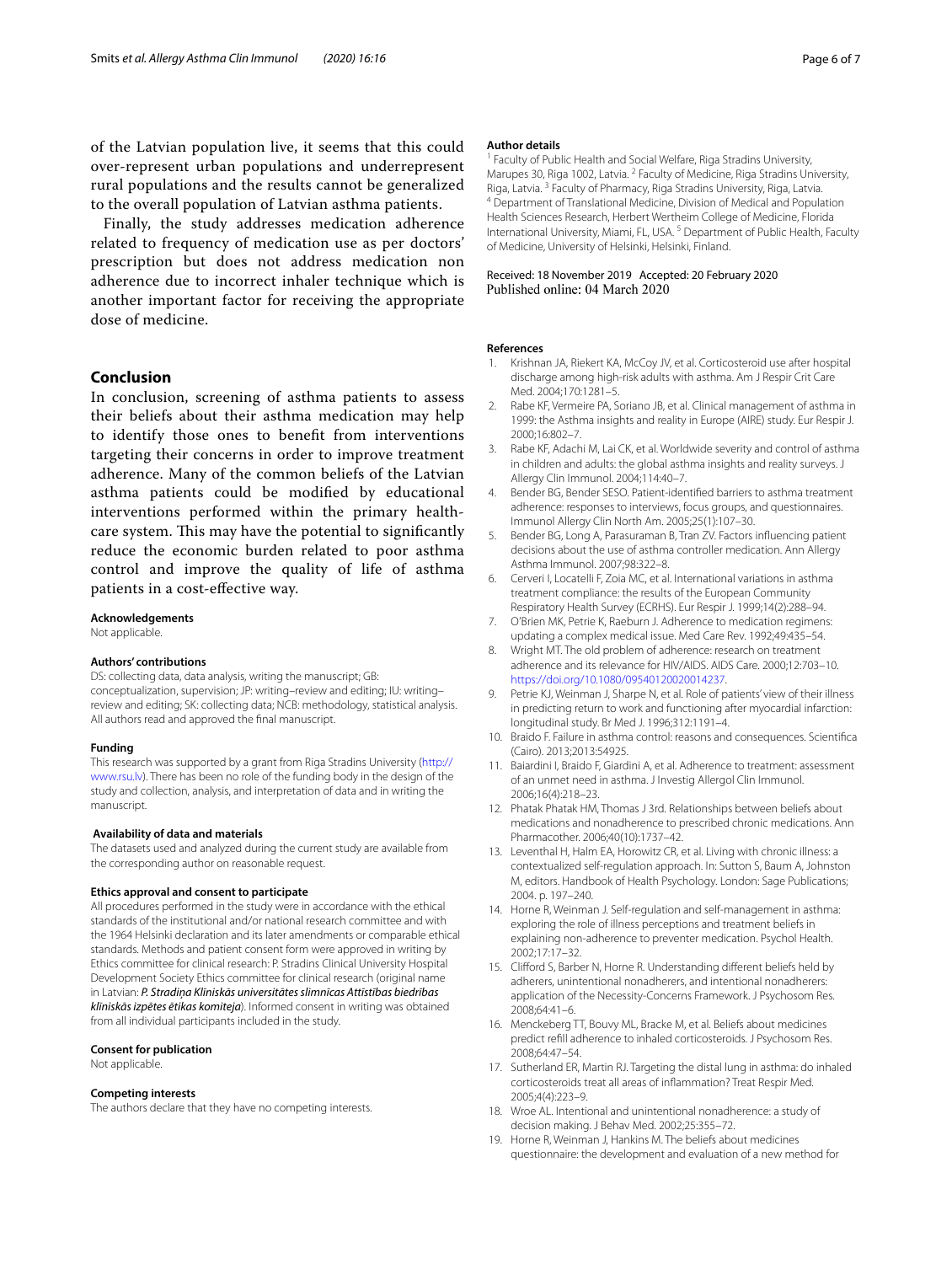of the Latvian population live, it seems that this could over-represent urban populations and underrepresent rural populations and the results cannot be generalized to the overall population of Latvian asthma patients.

Finally, the study addresses medication adherence related to frequency of medication use as per doctors' prescription but does not address medication non adherence due to incorrect inhaler technique which is another important factor for receiving the appropriate dose of medicine.

## **Conclusion**

In conclusion, screening of asthma patients to assess their beliefs about their asthma medication may help to identify those ones to beneft from interventions targeting their concerns in order to improve treatment adherence. Many of the common beliefs of the Latvian asthma patients could be modifed by educational interventions performed within the primary healthcare system. This may have the potential to significantly reduce the economic burden related to poor asthma control and improve the quality of life of asthma patients in a cost-efective way.

**Acknowledgements**

Not applicable.

#### **Authors' contributions**

DS: collecting data, data analysis, writing the manuscript; GB: conceptualization, supervision; JP: writing–review and editing; IU: writing– review and editing; SK: collecting data; NCB: methodology, statistical analysis. All authors read and approved the fnal manuscript.

#### **Funding**

This research was supported by a grant from Riga Stradins University [\(http://](http://www.rsu.lv) [www.rsu.lv](http://www.rsu.lv)). There has been no role of the funding body in the design of the study and collection, analysis, and interpretation of data and in writing the manuscript.

#### **Availability of data and materials**

The datasets used and analyzed during the current study are available from the corresponding author on reasonable request.

#### **Ethics approval and consent to participate**

All procedures performed in the study were in accordance with the ethical standards of the institutional and/or national research committee and with the 1964 Helsinki declaration and its later amendments or comparable ethical standards. Methods and patient consent form were approved in writing by Ethics committee for clinical research: P. Stradins Clinical University Hospital Development Society Ethics committee for clinical research (original name in Latvian: *P. Stradiņa Klīniskās universitātes slimnīcas Attīstības biedrības klīniskās izpētes ētikas komiteja*). Informed consent in writing was obtained from all individual participants included in the study.

#### **Consent for publication**

Not applicable.

#### **Competing interests**

The authors declare that they have no competing interests.

#### **Author details**

Faculty of Public Health and Social Welfare, Riga Stradins University, Marupes 30, Riga 1002, Latvia. <sup>2</sup> Faculty of Medicine, Riga Stradins University, Riga, Latvia. 3 Faculty of Pharmacy, Riga Stradins University, Riga, Latvia. 4 Department of Translational Medicine, Division of Medical and Population Health Sciences Research, Herbert Wertheim College of Medicine, Florida International University, Miami, FL, USA. 5 Department of Public Health, Faculty of Medicine, University of Helsinki, Helsinki, Finland.

#### Received: 18 November 2019 Accepted: 20 February 2020 Published online: 04 March 2020

#### **References**

- <span id="page-5-0"></span>1. Krishnan JA, Riekert KA, McCoy JV, et al. Corticosteroid use after hospital discharge among high-risk adults with asthma. Am J Respir Crit Care Med. 2004;170:1281–5.
- 2. Rabe KF, Vermeire PA, Soriano JB, et al. Clinical management of asthma in 1999: the Asthma insights and reality in Europe (AIRE) study. Eur Respir J. 2000;16:802–7.
- <span id="page-5-1"></span>3. Rabe KF, Adachi M, Lai CK, et al. Worldwide severity and control of asthma in children and adults: the global asthma insights and reality surveys. J Allergy Clin Immunol. 2004;114:40–7.
- <span id="page-5-2"></span>Bender BG, Bender SESO. Patient-identified barriers to asthma treatment adherence: responses to interviews, focus groups, and questionnaires. Immunol Allergy Clin North Am. 2005;25(1):107–30.
- 5. Bender BG, Long A, Parasuraman B, Tran ZV. Factors infuencing patient decisions about the use of asthma controller medication. Ann Allergy Asthma Immunol. 2007;98:322–8.
- <span id="page-5-3"></span>6. Cerveri I, Locatelli F, Zoia MC, et al. International variations in asthma treatment compliance: the results of the European Community Respiratory Health Survey (ECRHS). Eur Respir J. 1999;14(2):288–94.
- <span id="page-5-4"></span>7. O'Brien MK, Petrie K, Raeburn J. Adherence to medication regimens: updating a complex medical issue. Med Care Rev. 1992;49:435–54.
- <span id="page-5-12"></span>8. Wright MT. The old problem of adherence: research on treatment adherence and its relevance for HIV/AIDS. AIDS Care. 2000;12:703–10. [https://doi.org/10.1080/09540120020014237.](https://doi.org/10.1080/09540120020014237)
- <span id="page-5-13"></span>9. Petrie KJ, Weinman J, Sharpe N, et al. Role of patients' view of their illness in predicting return to work and functioning after myocardial infarction: longitudinal study. Br Med J. 1996;312:1191–4.
- <span id="page-5-14"></span>10. Braido F. Failure in asthma control: reasons and consequences. Scientifca (Cairo). 2013;2013:54925.
- <span id="page-5-15"></span>11. Baiardini I, Braido F, Giardini A, et al. Adherence to treatment: assessment of an unmet need in asthma. J Investig Allergol Clin Immunol. 2006;16(4):218–23.
- <span id="page-5-5"></span>12. Phatak Phatak HM, Thomas J 3rd. Relationships between beliefs about medications and nonadherence to prescribed chronic medications. Ann Pharmacother. 2006;40(10):1737–42.
- <span id="page-5-6"></span>13. Leventhal H, Halm EA, Horowitz CR, et al. Living with chronic illness: a contextualized self-regulation approach. In: Sutton S, Baum A, Johnston M, editors. Handbook of Health Psychology. London: Sage Publications; 2004. p. 197–240.
- <span id="page-5-7"></span>14. Horne R, Weinman J. Self-regulation and self-management in asthma: exploring the role of illness perceptions and treatment beliefs in explaining non-adherence to preventer medication. Psychol Health. 2002;17:17–32.
- <span id="page-5-16"></span>15. Cliford S, Barber N, Horne R. Understanding diferent beliefs held by adherers, unintentional nonadherers, and intentional nonadherers: application of the Necessity-Concerns Framework. J Psychosom Res. 2008;64:41–6.
- <span id="page-5-8"></span>16. Menckeberg TT, Bouvy ML, Bracke M, et al. Beliefs about medicines predict refll adherence to inhaled corticosteroids. J Psychosom Res. 2008;64:47–54.
- <span id="page-5-9"></span>17. Sutherland ER, Martin RJ. Targeting the distal lung in asthma: do inhaled corticosteroids treat all areas of infammation? Treat Respir Med. 2005;4(4):223–9.
- <span id="page-5-10"></span>18. Wroe AL. Intentional and unintentional nonadherence: a study of decision making. J Behav Med. 2002;25:355–72.
- <span id="page-5-11"></span>19. Horne R, Weinman J, Hankins M. The beliefs about medicines questionnaire: the development and evaluation of a new method for